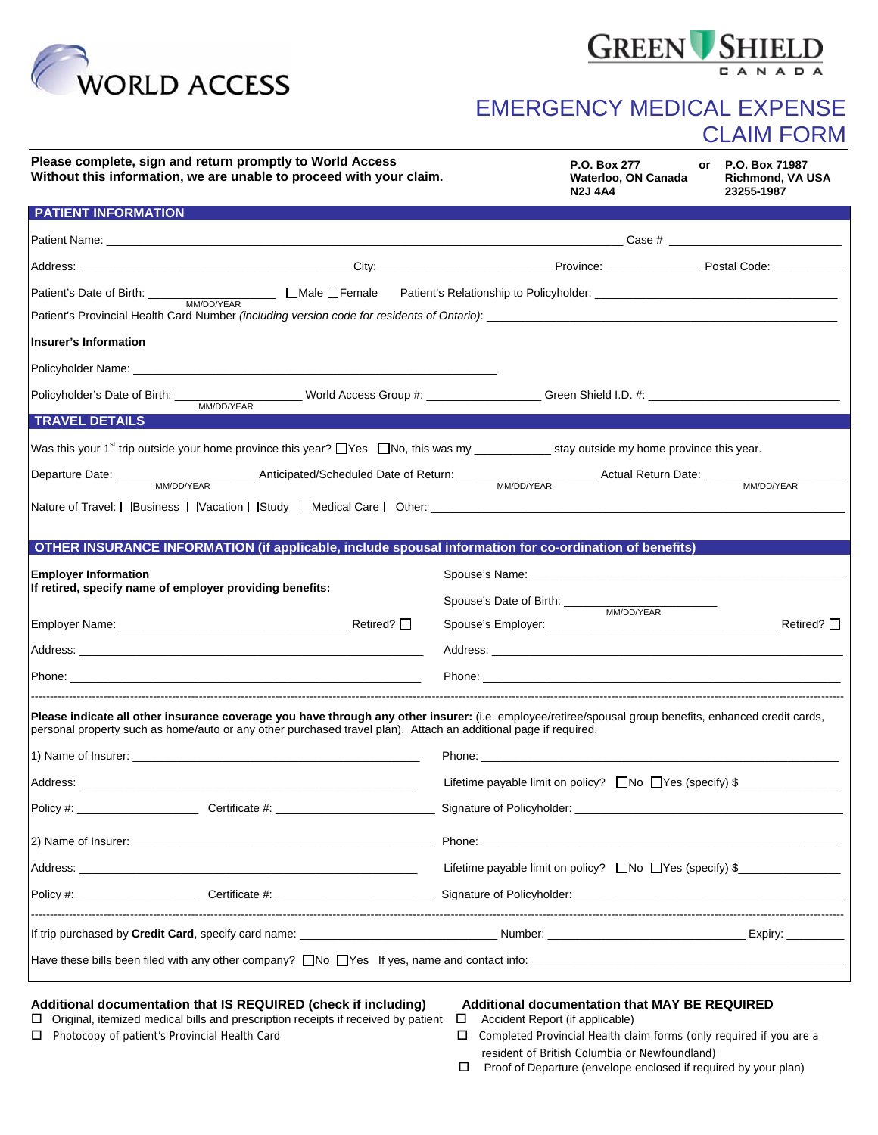



## EMERGENCY MEDICAL EXPENSE CLAIM FORM

| Please complete, sign and return promptly to World Access<br>Without this information, we are unable to proceed with your claim.                                                                                                                                          | P.O. Box 277<br>P.O. Box 71987<br>or<br>Waterloo, ON Canada<br>Richmond, VA USA<br>23255-1987<br><b>N2J 4A4</b>                                                                                                                      |  |
|---------------------------------------------------------------------------------------------------------------------------------------------------------------------------------------------------------------------------------------------------------------------------|--------------------------------------------------------------------------------------------------------------------------------------------------------------------------------------------------------------------------------------|--|
| <b>PATIENT INFORMATION</b>                                                                                                                                                                                                                                                |                                                                                                                                                                                                                                      |  |
|                                                                                                                                                                                                                                                                           |                                                                                                                                                                                                                                      |  |
|                                                                                                                                                                                                                                                                           |                                                                                                                                                                                                                                      |  |
|                                                                                                                                                                                                                                                                           | Patient's Relationship to Policyholder:<br>Letter and the state of the state of the state of the state of the state of the state of the state of the state of the state of the state of the state of the state of the state of t     |  |
|                                                                                                                                                                                                                                                                           |                                                                                                                                                                                                                                      |  |
| Insurer's Information                                                                                                                                                                                                                                                     |                                                                                                                                                                                                                                      |  |
|                                                                                                                                                                                                                                                                           |                                                                                                                                                                                                                                      |  |
| Policyholder's Date of Birth: _____                                                                                                                                                                                                                                       |                                                                                                                                                                                                                                      |  |
| MM/DD/YEAR<br><b>TRAVEL DETAILS</b>                                                                                                                                                                                                                                       |                                                                                                                                                                                                                                      |  |
| Was this your 1 <sup>st</sup> trip outside your home province this year? TYes TNo, this was my _____________ stay outside my home province this year.                                                                                                                     |                                                                                                                                                                                                                                      |  |
|                                                                                                                                                                                                                                                                           |                                                                                                                                                                                                                                      |  |
|                                                                                                                                                                                                                                                                           | MM/DD/YEAR                                                                                                                                                                                                                           |  |
|                                                                                                                                                                                                                                                                           |                                                                                                                                                                                                                                      |  |
| OTHER INSURANCE INFORMATION (if applicable, include spousal information for co-ordination of benefits)                                                                                                                                                                    |                                                                                                                                                                                                                                      |  |
| <b>Employer Information</b>                                                                                                                                                                                                                                               | Spouse's Name: <u>contract and a series of the series of the series of the series of the series of the series of the series of the series of the series of the series of the series of the series of the series of the series of</u> |  |
| If retired, specify name of employer providing benefits:                                                                                                                                                                                                                  | Spouse's Date of Birth: _____<br>MM/DD/YEAR                                                                                                                                                                                          |  |
|                                                                                                                                                                                                                                                                           |                                                                                                                                                                                                                                      |  |
|                                                                                                                                                                                                                                                                           |                                                                                                                                                                                                                                      |  |
| Phone: Note: Note: Note: Note: Note: Note: Note: Note: Note: Note: Note: Note: Note: Note: Note: Note: Note: No                                                                                                                                                           | Phone: <u>the contract of the contract of the contract of the contract of the contract of the contract of the contract of the contract of the contract of the contract of the contract of the contract of the contract of the co</u> |  |
| Please indicate all other insurance coverage you have through any other insurer: (i.e. employee/retiree/spousal group benefits, enhanced credit cards,<br>personal property such as home/auto or any other purchased travel plan). Attach an additional page if required. |                                                                                                                                                                                                                                      |  |
| 1) Name of Insurer: the contract of the contract of the contract of the contract of the contract of the contract of the contract of the contract of the contract of the contract of the contract of the contract of the contra                                            |                                                                                                                                                                                                                                      |  |
| Address: the contract of the contract of the contract of the contract of the contract of the contract of the contract of the contract of the contract of the contract of the contract of the contract of the contract of the c                                            | Lifetime payable limit on policy? □No □Yes (specify) \$___________________________                                                                                                                                                   |  |
|                                                                                                                                                                                                                                                                           |                                                                                                                                                                                                                                      |  |
|                                                                                                                                                                                                                                                                           | Phone: <u>www.communications.communications.com and the second contract of the second contract of the second contract of the second contract of the second contract of the second contract of the second contract of the second </u> |  |
|                                                                                                                                                                                                                                                                           | Lifetime payable limit on policy? □No □Yes (specify) \$_______________                                                                                                                                                               |  |
|                                                                                                                                                                                                                                                                           |                                                                                                                                                                                                                                      |  |
|                                                                                                                                                                                                                                                                           |                                                                                                                                                                                                                                      |  |
|                                                                                                                                                                                                                                                                           |                                                                                                                                                                                                                                      |  |

## **Additional documentation that IS REQUIRED (check if including) Additional documentation that MAY BE REQUIRED**

 $\Box$  Original, itemized medical bills and prescription receipts if received by patient  $\Box$  Accident Report (if applicable) Photocopy of patient's Provincial Health Card Completed Provincial Health claim forms (only required if you are a

- 
- resident of British Columbia or Newfoundland)
- □ Proof of Departure (envelope enclosed if required by your plan)